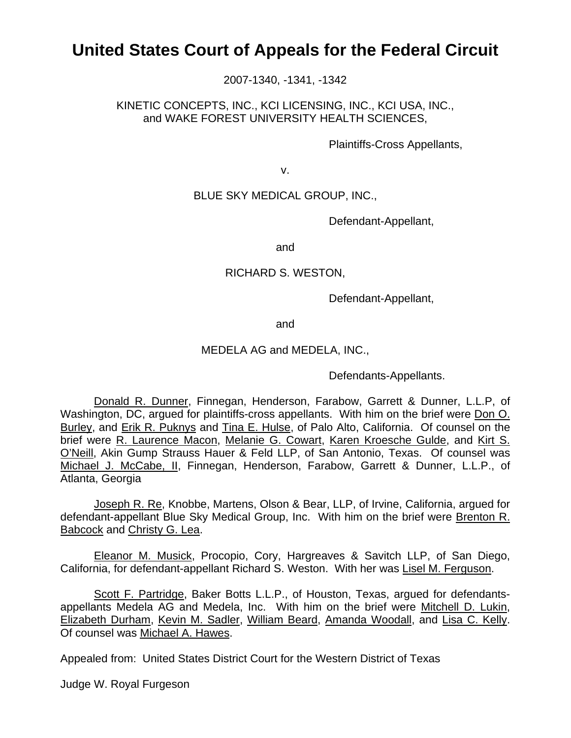# **United States Court of Appeals for the Federal Circuit**

2007-1340, -1341, -1342

KINETIC CONCEPTS, INC., KCI LICENSING, INC., KCI USA, INC., and WAKE FOREST UNIVERSITY HEALTH SCIENCES,

Plaintiffs-Cross Appellants,

v.

## BLUE SKY MEDICAL GROUP, INC.,

Defendant-Appellant,

and

#### RICHARD S. WESTON,

Defendant-Appellant,

and

#### MEDELA AG and MEDELA, INC.,

Defendants-Appellants.

 Donald R. Dunner, Finnegan, Henderson, Farabow, Garrett & Dunner, L.L.P, of Washington, DC, argued for plaintiffs-cross appellants. With him on the brief were Don O. Burley, and Erik R. Puknys and Tina E. Hulse, of Palo Alto, California. Of counsel on the brief were R. Laurence Macon, Melanie G. Cowart, Karen Kroesche Gulde, and Kirt S. O'Neill, Akin Gump Strauss Hauer & Feld LLP, of San Antonio, Texas. Of counsel was Michael J. McCabe, II, Finnegan, Henderson, Farabow, Garrett & Dunner, L.L.P., of Atlanta, Georgia

 Joseph R. Re, Knobbe, Martens, Olson & Bear, LLP, of Irvine, California, argued for defendant-appellant Blue Sky Medical Group, Inc. With him on the brief were Brenton R. Babcock and Christy G. Lea.

 Eleanor M. Musick, Procopio, Cory, Hargreaves & Savitch LLP, of San Diego, California, for defendant-appellant Richard S. Weston. With her was Lisel M. Ferguson.

 Scott F. Partridge, Baker Botts L.L.P., of Houston, Texas, argued for defendantsappellants Medela AG and Medela, Inc. With him on the brief were Mitchell D. Lukin, Elizabeth Durham, Kevin M. Sadler, William Beard, Amanda Woodall, and Lisa C. Kelly. Of counsel was Michael A. Hawes.

Appealed from: United States District Court for the Western District of Texas

Judge W. Royal Furgeson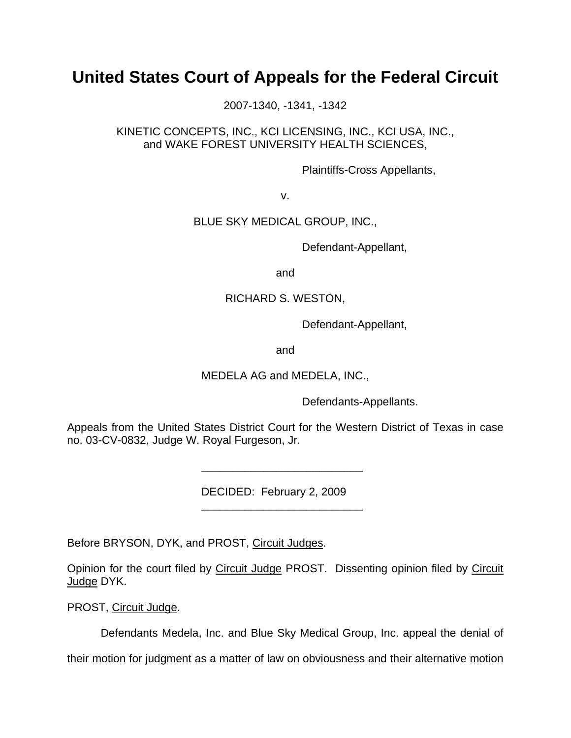# **United States Court of Appeals for the Federal Circuit**

2007-1340, -1341, -1342

KINETIC CONCEPTS, INC., KCI LICENSING, INC., KCI USA, INC., and WAKE FOREST UNIVERSITY HEALTH SCIENCES,

Plaintiffs-Cross Appellants,

v.

## BLUE SKY MEDICAL GROUP, INC.,

Defendant-Appellant,

and

## RICHARD S. WESTON,

Defendant-Appellant,

and

MEDELA AG and MEDELA, INC.,

Defendants-Appellants.

Appeals from the United States District Court for the Western District of Texas in case no. 03-CV-0832, Judge W. Royal Furgeson, Jr.

DECIDED: February 2, 2009

Before BRYSON, DYK, and PROST, Circuit Judges.

\_\_\_\_\_\_\_\_\_\_\_\_\_\_\_\_\_\_\_\_\_\_\_\_\_\_

 $\frac{1}{2}$  , and the set of the set of the set of the set of the set of the set of the set of the set of the set of the set of the set of the set of the set of the set of the set of the set of the set of the set of the set

Opinion for the court filed by Circuit Judge PROST. Dissenting opinion filed by Circuit Judge DYK.

PROST, Circuit Judge.

Defendants Medela, Inc. and Blue Sky Medical Group, Inc. appeal the denial of

their motion for judgment as a matter of law on obviousness and their alternative motion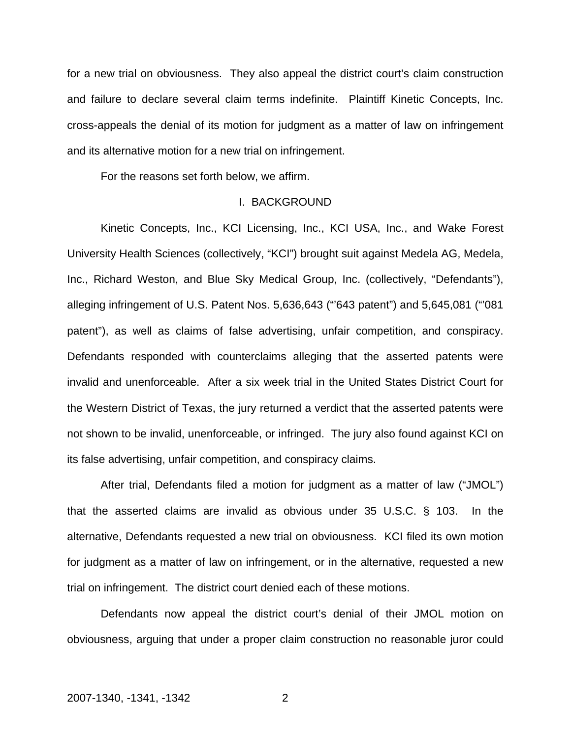for a new trial on obviousness. They also appeal the district court's claim construction and failure to declare several claim terms indefinite. Plaintiff Kinetic Concepts, Inc. cross-appeals the denial of its motion for judgment as a matter of law on infringement and its alternative motion for a new trial on infringement.

For the reasons set forth below, we affirm.

#### I. BACKGROUND

Kinetic Concepts, Inc., KCI Licensing, Inc., KCI USA, Inc., and Wake Forest University Health Sciences (collectively, "KCI") brought suit against Medela AG, Medela, Inc., Richard Weston, and Blue Sky Medical Group, Inc. (collectively, "Defendants"), alleging infringement of U.S. Patent Nos. 5,636,643 ("'643 patent") and 5,645,081 ("'081 patent"), as well as claims of false advertising, unfair competition, and conspiracy. Defendants responded with counterclaims alleging that the asserted patents were invalid and unenforceable. After a six week trial in the United States District Court for the Western District of Texas, the jury returned a verdict that the asserted patents were not shown to be invalid, unenforceable, or infringed. The jury also found against KCI on its false advertising, unfair competition, and conspiracy claims.

After trial, Defendants filed a motion for judgment as a matter of law ("JMOL") that the asserted claims are invalid as obvious under 35 U.S.C. § 103. In the alternative, Defendants requested a new trial on obviousness. KCI filed its own motion for judgment as a matter of law on infringement, or in the alternative, requested a new trial on infringement. The district court denied each of these motions.

Defendants now appeal the district court's denial of their JMOL motion on obviousness, arguing that under a proper claim construction no reasonable juror could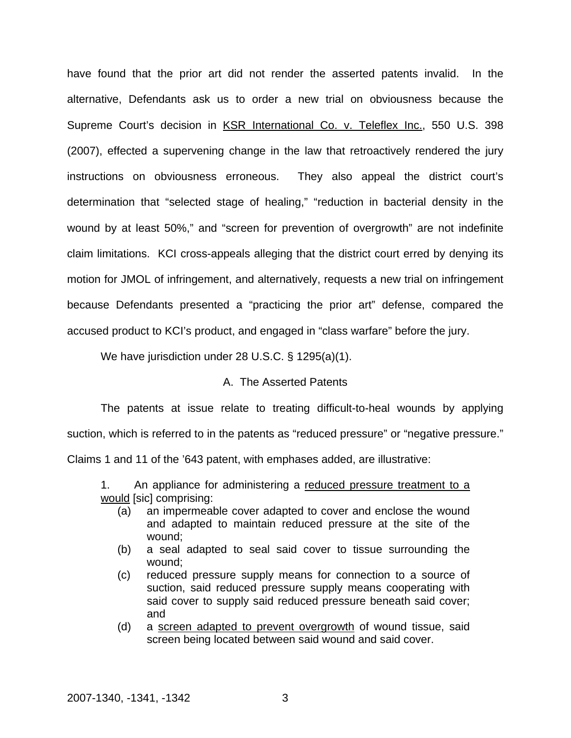have found that the prior art did not render the asserted patents invalid. In the alternative, Defendants ask us to order a new trial on obviousness because the Supreme Court's decision in KSR International Co. v. Teleflex Inc., 550 U.S. 398 (2007), effected a supervening change in the law that retroactively rendered the jury instructions on obviousness erroneous. They also appeal the district court's determination that "selected stage of healing," "reduction in bacterial density in the wound by at least 50%," and "screen for prevention of overgrowth" are not indefinite claim limitations. KCI cross-appeals alleging that the district court erred by denying its motion for JMOL of infringement, and alternatively, requests a new trial on infringement because Defendants presented a "practicing the prior art" defense, compared the accused product to KCI's product, and engaged in "class warfare" before the jury.

We have jurisdiction under 28 U.S.C. § 1295(a)(1).

## A. The Asserted Patents

 The patents at issue relate to treating difficult-to-heal wounds by applying suction, which is referred to in the patents as "reduced pressure" or "negative pressure." Claims 1 and 11 of the '643 patent, with emphases added, are illustrative:

1. An appliance for administering a reduced pressure treatment to a would [sic] comprising:

- (a) an impermeable cover adapted to cover and enclose the wound and adapted to maintain reduced pressure at the site of the wound;
- (b) a seal adapted to seal said cover to tissue surrounding the wound;
- (c) reduced pressure supply means for connection to a source of suction, said reduced pressure supply means cooperating with said cover to supply said reduced pressure beneath said cover; and
- (d) a screen adapted to prevent overgrowth of wound tissue, said screen being located between said wound and said cover.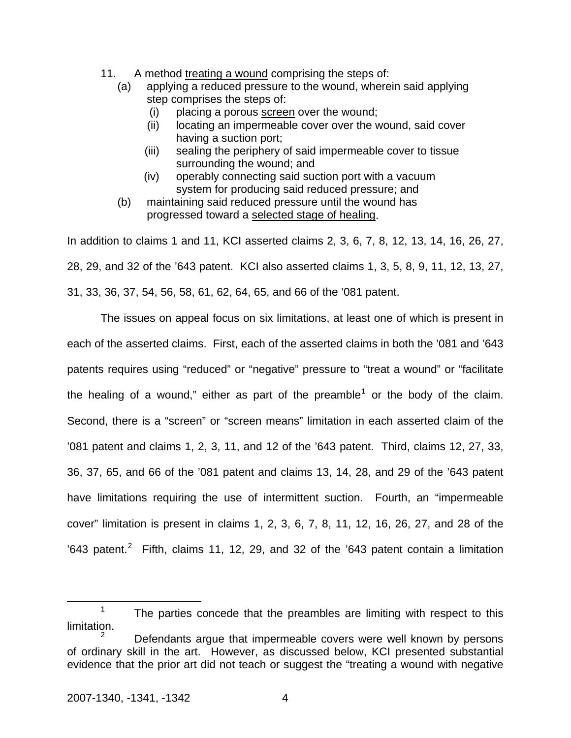- 11. A method treating a wound comprising the steps of:
	- (a) applying a reduced pressure to the wound, wherein said applying step comprises the steps of:
		- (i) placing a porous screen over the wound;
		- (ii) locating an impermeable cover over the wound, said cover having a suction port;
		- (iii) sealing the periphery of said impermeable cover to tissue surrounding the wound; and
		- (iv) operably connecting said suction port with a vacuum system for producing said reduced pressure; and
	- (b) maintaining said reduced pressure until the wound has progressed toward a selected stage of healing.

In addition to claims 1 and 11, KCI asserted claims 2, 3, 6, 7, 8, 12, 13, 14, 16, 26, 27, 28, 29, and 32 of the '643 patent. KCI also asserted claims 1, 3, 5, 8, 9, 11, 12, 13, 27, 31, 33, 36, 37, 54, 56, 58, 61, 62, 64, 65, and 66 of the '081 patent.

The issues on appeal focus on six limitations, at least one of which is present in each of the asserted claims. First, each of the asserted claims in both the '081 and '643 patents requires using "reduced" or "negative" pressure to "treat a wound" or "facilitate the healing of a wound," either as part of the preamble<sup>[1](#page-4-0)</sup> or the body of the claim. Second, there is a "screen" or "screen means" limitation in each asserted claim of the '081 patent and claims 1, 2, 3, 11, and 12 of the '643 patent. Third, claims 12, 27, 33, 36, 37, 65, and 66 of the '081 patent and claims 13, 14, 28, and 29 of the '643 patent have limitations requiring the use of intermittent suction. Fourth, an "impermeable cover" limitation is present in claims 1, 2, 3, 6, 7, 8, 11, 12, 16, 26, 27, and 28 of the '643 patent.<sup>[2](#page-4-1)</sup> Fifth, claims 11, 12, 29, and 32 of the '643 patent contain a limitation

<span id="page-4-0"></span> <sup>1</sup>  $1$  The parties concede that the preambles are limiting with respect to this limitation.

<span id="page-4-1"></span><sup>2</sup> Defendants argue that impermeable covers were well known by persons of ordinary skill in the art. However, as discussed below, KCI presented substantial evidence that the prior art did not teach or suggest the "treating a wound with negative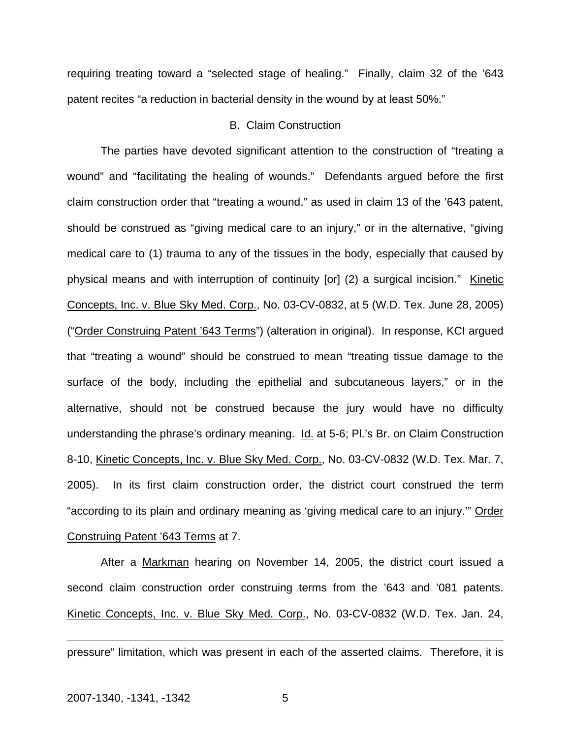requiring treating toward a "selected stage of healing." Finally, claim 32 of the '643 patent recites "a reduction in bacterial density in the wound by at least 50%."

## B. Claim Construction

 The parties have devoted significant attention to the construction of "treating a wound" and "facilitating the healing of wounds." Defendants argued before the first claim construction order that "treating a wound," as used in claim 13 of the '643 patent, should be construed as "giving medical care to an injury," or in the alternative, "giving medical care to (1) trauma to any of the tissues in the body, especially that caused by physical means and with interruption of continuity [or] (2) a surgical incision." Kinetic Concepts, Inc. v. Blue Sky Med. Corp., No. 03-CV-0832, at 5 (W.D. Tex. June 28, 2005) ("Order Construing Patent '643 Terms") (alteration in original). In response, KCI argued that "treating a wound" should be construed to mean "treating tissue damage to the surface of the body, including the epithelial and subcutaneous layers," or in the alternative, should not be construed because the jury would have no difficulty understanding the phrase's ordinary meaning. Id. at 5-6; Pl.'s Br. on Claim Construction 8-10, Kinetic Concepts, Inc. v. Blue Sky Med. Corp., No. 03-CV-0832 (W.D. Tex. Mar. 7, 2005). In its first claim construction order, the district court construed the term "according to its plain and ordinary meaning as 'giving medical care to an injury.'" Order Construing Patent '643 Terms at 7.

 After a Markman hearing on November 14, 2005, the district court issued a second claim construction order construing terms from the '643 and '081 patents. Kinetic Concepts, Inc. v. Blue Sky Med. Corp., No. 03-CV-0832 (W.D. Tex. Jan. 24,

pressure" limitation, which was present in each of the asserted claims. Therefore, it is

 $\overline{a}$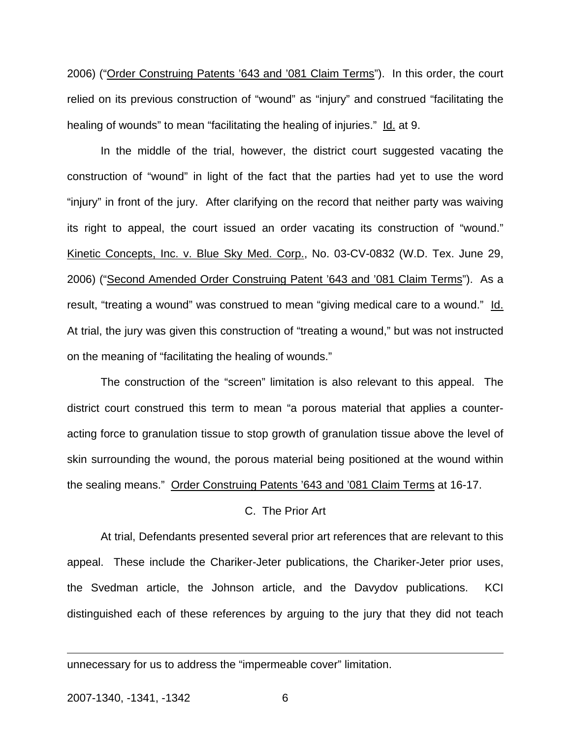2006) ("Order Construing Patents '643 and '081 Claim Terms"). In this order, the court relied on its previous construction of "wound" as "injury" and construed "facilitating the healing of wounds" to mean "facilitating the healing of injuries." Id. at 9.

 In the middle of the trial, however, the district court suggested vacating the construction of "wound" in light of the fact that the parties had yet to use the word "injury" in front of the jury. After clarifying on the record that neither party was waiving its right to appeal, the court issued an order vacating its construction of "wound." Kinetic Concepts, Inc. v. Blue Sky Med. Corp., No. 03-CV-0832 (W.D. Tex. June 29, 2006) ("Second Amended Order Construing Patent '643 and '081 Claim Terms"). As a result, "treating a wound" was construed to mean "giving medical care to a wound." Id. At trial, the jury was given this construction of "treating a wound," but was not instructed on the meaning of "facilitating the healing of wounds."

 The construction of the "screen" limitation is also relevant to this appeal. The district court construed this term to mean "a porous material that applies a counteracting force to granulation tissue to stop growth of granulation tissue above the level of skin surrounding the wound, the porous material being positioned at the wound within the sealing means." Order Construing Patents '643 and '081 Claim Terms at 16-17.

## C. The Prior Art

 At trial, Defendants presented several prior art references that are relevant to this appeal. These include the Chariker-Jeter publications, the Chariker-Jeter prior uses, the Svedman article, the Johnson article, and the Davydov publications. KCI distinguished each of these references by arguing to the jury that they did not teach

unnecessary for us to address the "impermeable cover" limitation.

 $\overline{a}$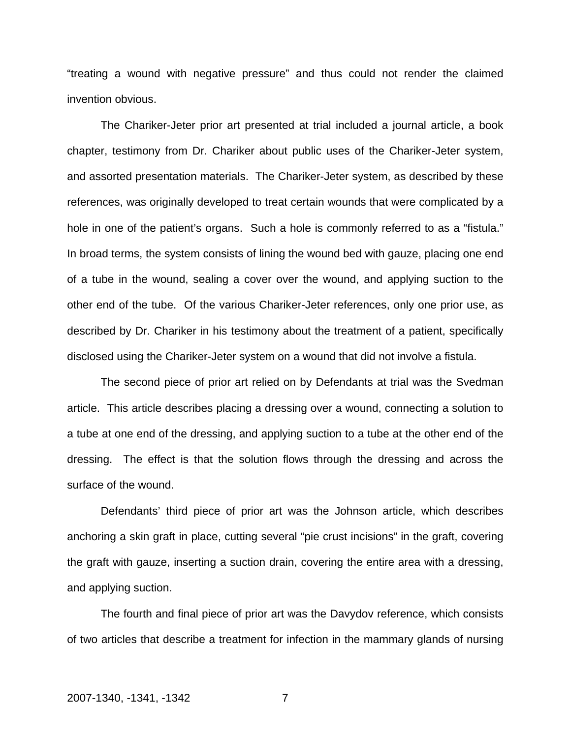"treating a wound with negative pressure" and thus could not render the claimed invention obvious.

 The Chariker-Jeter prior art presented at trial included a journal article, a book chapter, testimony from Dr. Chariker about public uses of the Chariker-Jeter system, and assorted presentation materials. The Chariker-Jeter system, as described by these references, was originally developed to treat certain wounds that were complicated by a hole in one of the patient's organs. Such a hole is commonly referred to as a "fistula." In broad terms, the system consists of lining the wound bed with gauze, placing one end of a tube in the wound, sealing a cover over the wound, and applying suction to the other end of the tube. Of the various Chariker-Jeter references, only one prior use, as described by Dr. Chariker in his testimony about the treatment of a patient, specifically disclosed using the Chariker-Jeter system on a wound that did not involve a fistula.

 The second piece of prior art relied on by Defendants at trial was the Svedman article. This article describes placing a dressing over a wound, connecting a solution to a tube at one end of the dressing, and applying suction to a tube at the other end of the dressing. The effect is that the solution flows through the dressing and across the surface of the wound.

Defendants' third piece of prior art was the Johnson article, which describes anchoring a skin graft in place, cutting several "pie crust incisions" in the graft, covering the graft with gauze, inserting a suction drain, covering the entire area with a dressing, and applying suction.

 The fourth and final piece of prior art was the Davydov reference, which consists of two articles that describe a treatment for infection in the mammary glands of nursing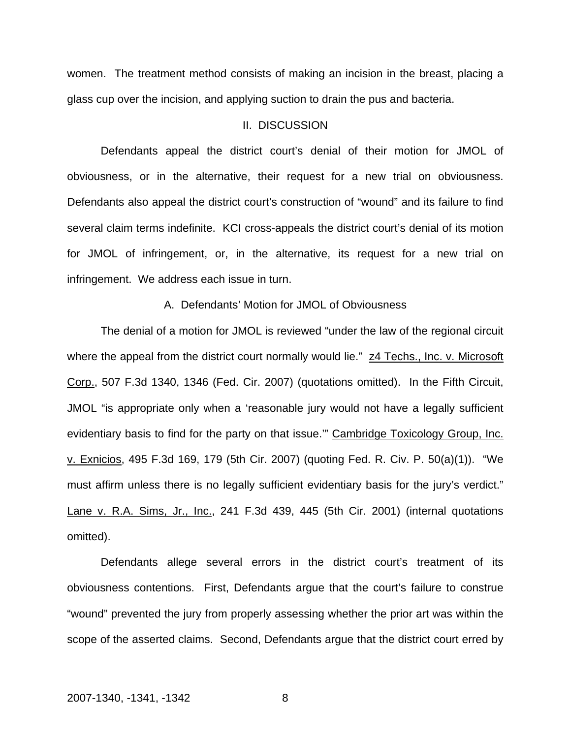women. The treatment method consists of making an incision in the breast, placing a glass cup over the incision, and applying suction to drain the pus and bacteria.

## II. DISCUSSION

 Defendants appeal the district court's denial of their motion for JMOL of obviousness, or in the alternative, their request for a new trial on obviousness. Defendants also appeal the district court's construction of "wound" and its failure to find several claim terms indefinite. KCI cross-appeals the district court's denial of its motion for JMOL of infringement, or, in the alternative, its request for a new trial on infringement. We address each issue in turn.

## A. Defendants' Motion for JMOL of Obviousness

The denial of a motion for JMOL is reviewed "under the law of the regional circuit where the appeal from the district court normally would lie." z4 Techs., Inc. v. Microsoft Corp., 507 F.3d 1340, 1346 (Fed. Cir. 2007) (quotations omitted). In the Fifth Circuit, JMOL "is appropriate only when a 'reasonable jury would not have a legally sufficient evidentiary basis to find for the party on that issue." Cambridge Toxicology Group, Inc. v. Exnicios, 495 F.3d 169, 179 (5th Cir. 2007) (quoting Fed. R. Civ. P. 50(a)(1)). "We must affirm unless there is no legally sufficient evidentiary basis for the jury's verdict." Lane v. R.A. Sims, Jr., Inc., 241 F.3d 439, 445 (5th Cir. 2001) (internal quotations omitted).

 Defendants allege several errors in the district court's treatment of its obviousness contentions. First, Defendants argue that the court's failure to construe "wound" prevented the jury from properly assessing whether the prior art was within the scope of the asserted claims. Second, Defendants argue that the district court erred by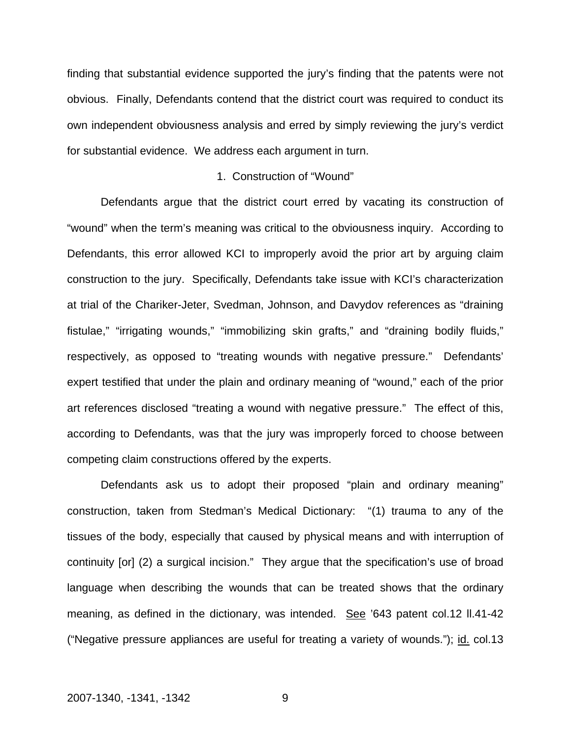finding that substantial evidence supported the jury's finding that the patents were not obvious. Finally, Defendants contend that the district court was required to conduct its own independent obviousness analysis and erred by simply reviewing the jury's verdict for substantial evidence. We address each argument in turn.

## 1. Construction of "Wound"

 Defendants argue that the district court erred by vacating its construction of "wound" when the term's meaning was critical to the obviousness inquiry. According to Defendants, this error allowed KCI to improperly avoid the prior art by arguing claim construction to the jury. Specifically, Defendants take issue with KCI's characterization at trial of the Chariker-Jeter, Svedman, Johnson, and Davydov references as "draining fistulae," "irrigating wounds," "immobilizing skin grafts," and "draining bodily fluids," respectively, as opposed to "treating wounds with negative pressure." Defendants' expert testified that under the plain and ordinary meaning of "wound," each of the prior art references disclosed "treating a wound with negative pressure." The effect of this, according to Defendants, was that the jury was improperly forced to choose between competing claim constructions offered by the experts.

Defendants ask us to adopt their proposed "plain and ordinary meaning" construction, taken from Stedman's Medical Dictionary: "(1) trauma to any of the tissues of the body, especially that caused by physical means and with interruption of continuity [or] (2) a surgical incision." They argue that the specification's use of broad language when describing the wounds that can be treated shows that the ordinary meaning, as defined in the dictionary, was intended. See '643 patent col.12 ll.41-42 ("Negative pressure appliances are useful for treating a variety of wounds."); id. col.13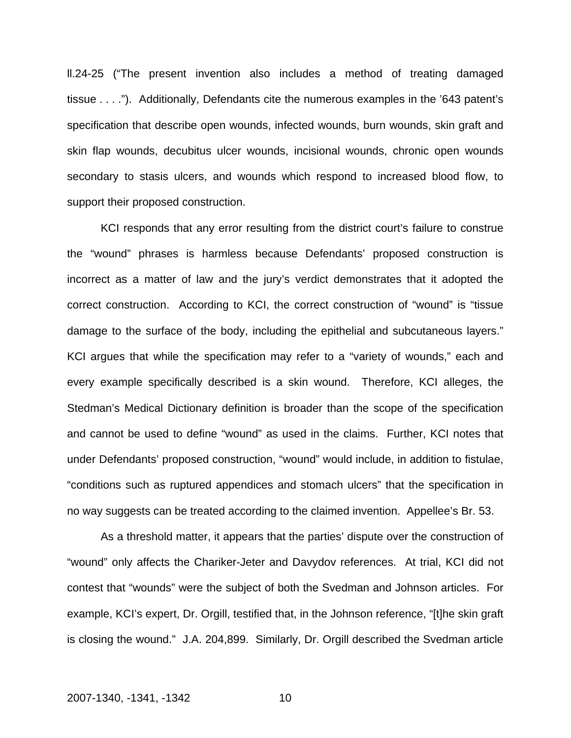ll.24-25 ("The present invention also includes a method of treating damaged tissue . . . ."). Additionally, Defendants cite the numerous examples in the '643 patent's specification that describe open wounds, infected wounds, burn wounds, skin graft and skin flap wounds, decubitus ulcer wounds, incisional wounds, chronic open wounds secondary to stasis ulcers, and wounds which respond to increased blood flow, to support their proposed construction.

KCI responds that any error resulting from the district court's failure to construe the "wound" phrases is harmless because Defendants' proposed construction is incorrect as a matter of law and the jury's verdict demonstrates that it adopted the correct construction. According to KCI, the correct construction of "wound" is "tissue damage to the surface of the body, including the epithelial and subcutaneous layers." KCI argues that while the specification may refer to a "variety of wounds," each and every example specifically described is a skin wound. Therefore, KCI alleges, the Stedman's Medical Dictionary definition is broader than the scope of the specification and cannot be used to define "wound" as used in the claims. Further, KCI notes that under Defendants' proposed construction, "wound" would include, in addition to fistulae, "conditions such as ruptured appendices and stomach ulcers" that the specification in no way suggests can be treated according to the claimed invention. Appellee's Br. 53.

As a threshold matter, it appears that the parties' dispute over the construction of "wound" only affects the Chariker-Jeter and Davydov references. At trial, KCI did not contest that "wounds" were the subject of both the Svedman and Johnson articles. For example, KCI's expert, Dr. Orgill, testified that, in the Johnson reference, "[t]he skin graft is closing the wound." J.A. 204,899. Similarly, Dr. Orgill described the Svedman article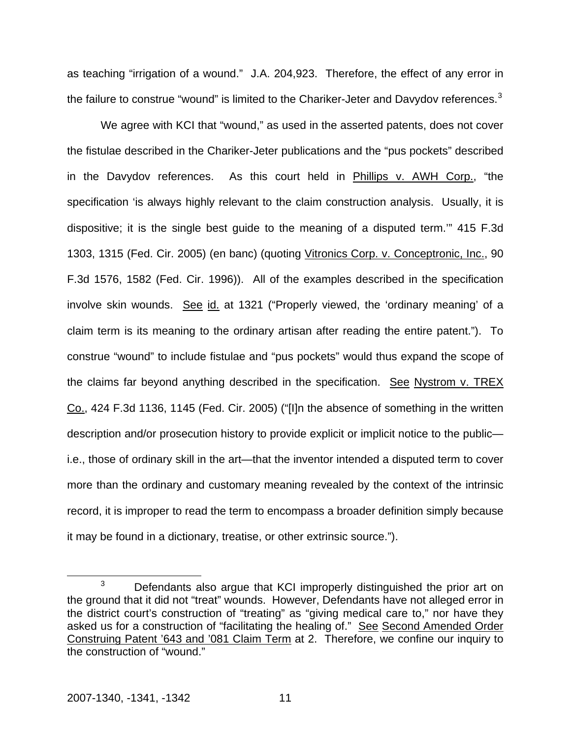as teaching "irrigation of a wound." J.A. 204,923. Therefore, the effect of any error in the failure to construe "wound" is limited to the Chariker-Jeter and Davydov references.<sup>[3](#page-11-0)</sup>

We agree with KCI that "wound," as used in the asserted patents, does not cover the fistulae described in the Chariker-Jeter publications and the "pus pockets" described in the Davydov references. As this court held in Phillips v. AWH Corp., "the specification 'is always highly relevant to the claim construction analysis. Usually, it is dispositive; it is the single best guide to the meaning of a disputed term.'" 415 F.3d 1303, 1315 (Fed. Cir. 2005) (en banc) (quoting Vitronics Corp. v. Conceptronic, Inc., 90 F.3d 1576, 1582 (Fed. Cir. 1996)). All of the examples described in the specification involve skin wounds. See id. at 1321 ("Properly viewed, the 'ordinary meaning' of a claim term is its meaning to the ordinary artisan after reading the entire patent."). To construe "wound" to include fistulae and "pus pockets" would thus expand the scope of the claims far beyond anything described in the specification. See Nystrom v. TREX Co., 424 F.3d 1136, 1145 (Fed. Cir. 2005) ("[I]n the absence of something in the written description and/or prosecution history to provide explicit or implicit notice to the public i.e., those of ordinary skill in the art—that the inventor intended a disputed term to cover more than the ordinary and customary meaning revealed by the context of the intrinsic record, it is improper to read the term to encompass a broader definition simply because it may be found in a dictionary, treatise, or other extrinsic source.").

<span id="page-11-0"></span> <sup>3</sup>  $3$  Defendants also argue that KCI improperly distinguished the prior art on the ground that it did not "treat" wounds. However, Defendants have not alleged error in the district court's construction of "treating" as "giving medical care to," nor have they asked us for a construction of "facilitating the healing of." See Second Amended Order Construing Patent '643 and '081 Claim Term at 2. Therefore, we confine our inquiry to the construction of "wound."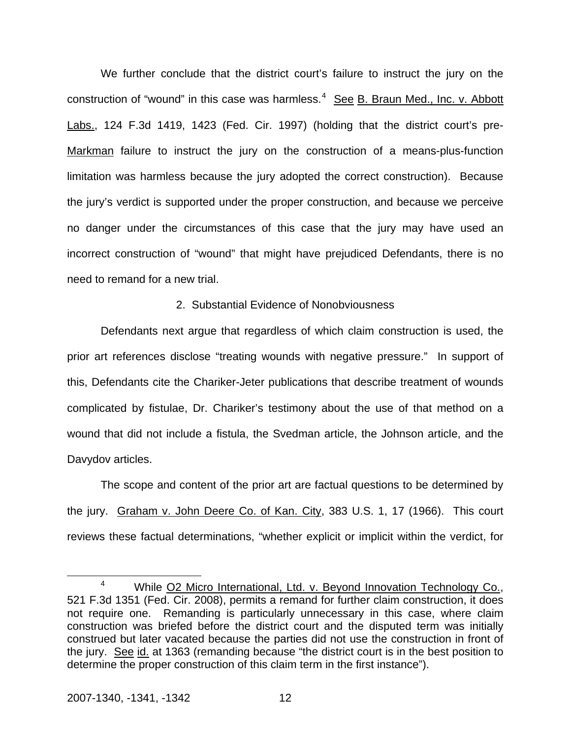We further conclude that the district court's failure to instruct the jury on the construction of "wound" in this case was harmless.<sup>[4](#page-12-0)</sup> See B. Braun Med., Inc. v. Abbott Labs., 124 F.3d 1419, 1423 (Fed. Cir. 1997) (holding that the district court's pre-Markman failure to instruct the jury on the construction of a means-plus-function limitation was harmless because the jury adopted the correct construction). Because the jury's verdict is supported under the proper construction, and because we perceive no danger under the circumstances of this case that the jury may have used an incorrect construction of "wound" that might have prejudiced Defendants, there is no need to remand for a new trial.

## 2. Substantial Evidence of Nonobviousness

 Defendants next argue that regardless of which claim construction is used, the prior art references disclose "treating wounds with negative pressure." In support of this, Defendants cite the Chariker-Jeter publications that describe treatment of wounds complicated by fistulae, Dr. Chariker's testimony about the use of that method on a wound that did not include a fistula, the Svedman article, the Johnson article, and the Davydov articles.

 The scope and content of the prior art are factual questions to be determined by the jury. Graham v. John Deere Co. of Kan. City, 383 U.S. 1, 17 (1966). This court reviews these factual determinations, "whether explicit or implicit within the verdict, for

<span id="page-12-0"></span> $\overline{4}$ <sup>4</sup> While O2 Micro International, Ltd. v. Beyond Innovation Technology Co., 521 F.3d 1351 (Fed. Cir. 2008), permits a remand for further claim construction, it does not require one. Remanding is particularly unnecessary in this case, where claim construction was briefed before the district court and the disputed term was initially construed but later vacated because the parties did not use the construction in front of the jury. See id. at 1363 (remanding because "the district court is in the best position to determine the proper construction of this claim term in the first instance").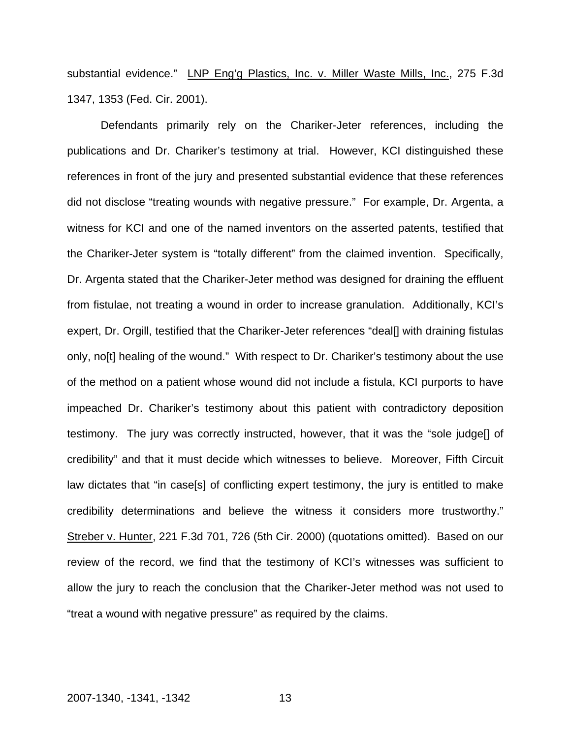substantial evidence." LNP Eng'g Plastics, Inc. v. Miller Waste Mills, Inc., 275 F.3d 1347, 1353 (Fed. Cir. 2001).

 Defendants primarily rely on the Chariker-Jeter references, including the publications and Dr. Chariker's testimony at trial. However, KCI distinguished these references in front of the jury and presented substantial evidence that these references did not disclose "treating wounds with negative pressure." For example, Dr. Argenta, a witness for KCI and one of the named inventors on the asserted patents, testified that the Chariker-Jeter system is "totally different" from the claimed invention. Specifically, Dr. Argenta stated that the Chariker-Jeter method was designed for draining the effluent from fistulae, not treating a wound in order to increase granulation. Additionally, KCI's expert, Dr. Orgill, testified that the Chariker-Jeter references "deal<sup>[]</sup> with draining fistulas only, no[t] healing of the wound." With respect to Dr. Chariker's testimony about the use of the method on a patient whose wound did not include a fistula, KCI purports to have impeached Dr. Chariker's testimony about this patient with contradictory deposition testimony. The jury was correctly instructed, however, that it was the "sole judge[] of credibility" and that it must decide which witnesses to believe. Moreover, Fifth Circuit law dictates that "in case[s] of conflicting expert testimony, the jury is entitled to make credibility determinations and believe the witness it considers more trustworthy." Streber v. Hunter, 221 F.3d 701, 726 (5th Cir. 2000) (quotations omitted). Based on our review of the record, we find that the testimony of KCI's witnesses was sufficient to allow the jury to reach the conclusion that the Chariker-Jeter method was not used to "treat a wound with negative pressure" as required by the claims.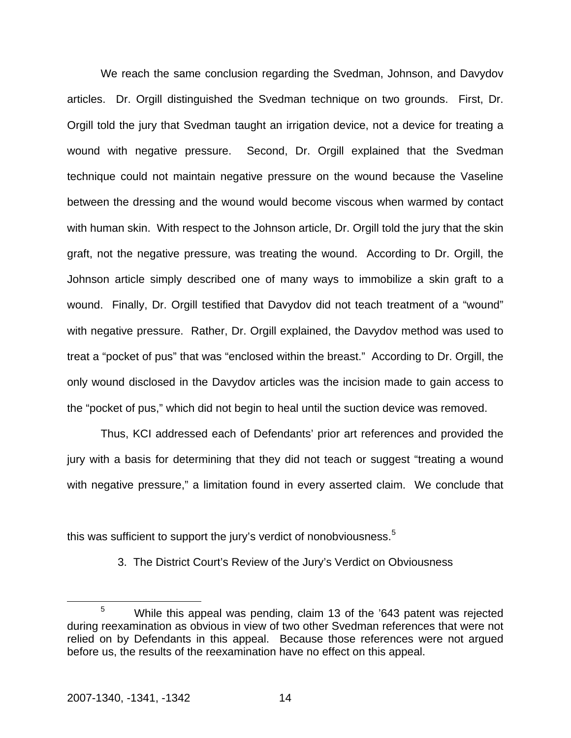We reach the same conclusion regarding the Svedman, Johnson, and Davydov articles. Dr. Orgill distinguished the Svedman technique on two grounds. First, Dr. Orgill told the jury that Svedman taught an irrigation device, not a device for treating a wound with negative pressure. Second, Dr. Orgill explained that the Svedman technique could not maintain negative pressure on the wound because the Vaseline between the dressing and the wound would become viscous when warmed by contact with human skin. With respect to the Johnson article, Dr. Orgill told the jury that the skin graft, not the negative pressure, was treating the wound. According to Dr. Orgill, the Johnson article simply described one of many ways to immobilize a skin graft to a wound. Finally, Dr. Orgill testified that Davydov did not teach treatment of a "wound" with negative pressure. Rather, Dr. Orgill explained, the Davydov method was used to treat a "pocket of pus" that was "enclosed within the breast." According to Dr. Orgill, the only wound disclosed in the Davydov articles was the incision made to gain access to the "pocket of pus," which did not begin to heal until the suction device was removed.

Thus, KCI addressed each of Defendants' prior art references and provided the jury with a basis for determining that they did not teach or suggest "treating a wound with negative pressure," a limitation found in every asserted claim. We conclude that

this was sufficient to support the jury's verdict of nonobviousness.<sup>[5](#page-14-0)</sup>

3. The District Court's Review of the Jury's Verdict on Obviousness

<span id="page-14-0"></span> $\frac{1}{5}$ <sup>5</sup> While this appeal was pending, claim 13 of the '643 patent was rejected during reexamination as obvious in view of two other Svedman references that were not relied on by Defendants in this appeal. Because those references were not argued before us, the results of the reexamination have no effect on this appeal.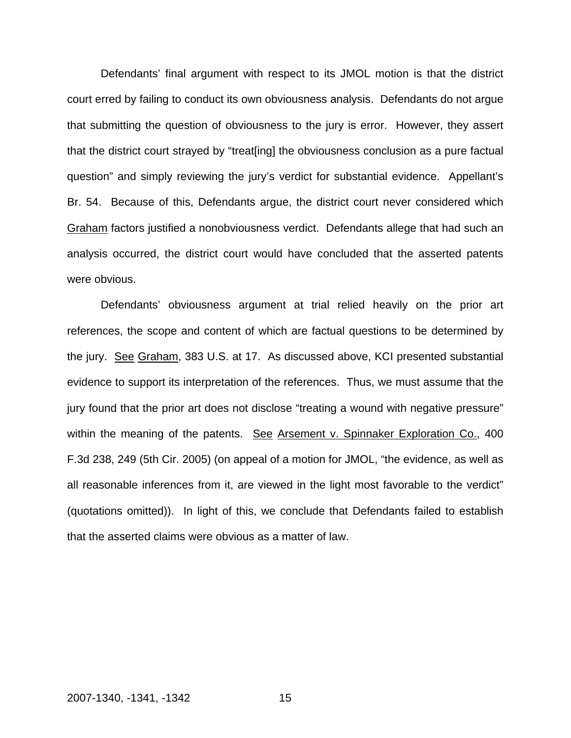Defendants' final argument with respect to its JMOL motion is that the district court erred by failing to conduct its own obviousness analysis. Defendants do not argue that submitting the question of obviousness to the jury is error. However, they assert that the district court strayed by "treat[ing] the obviousness conclusion as a pure factual question" and simply reviewing the jury's verdict for substantial evidence. Appellant's Br. 54. Because of this, Defendants argue, the district court never considered which Graham factors justified a nonobviousness verdict. Defendants allege that had such an analysis occurred, the district court would have concluded that the asserted patents were obvious.

 Defendants' obviousness argument at trial relied heavily on the prior art references, the scope and content of which are factual questions to be determined by the jury. See Graham, 383 U.S. at 17. As discussed above, KCI presented substantial evidence to support its interpretation of the references. Thus, we must assume that the jury found that the prior art does not disclose "treating a wound with negative pressure" within the meaning of the patents. See Arsement v. Spinnaker Exploration Co., 400 F.3d 238, 249 (5th Cir. 2005) (on appeal of a motion for JMOL, "the evidence, as well as all reasonable inferences from it, are viewed in the light most favorable to the verdict" (quotations omitted)). In light of this, we conclude that Defendants failed to establish that the asserted claims were obvious as a matter of law.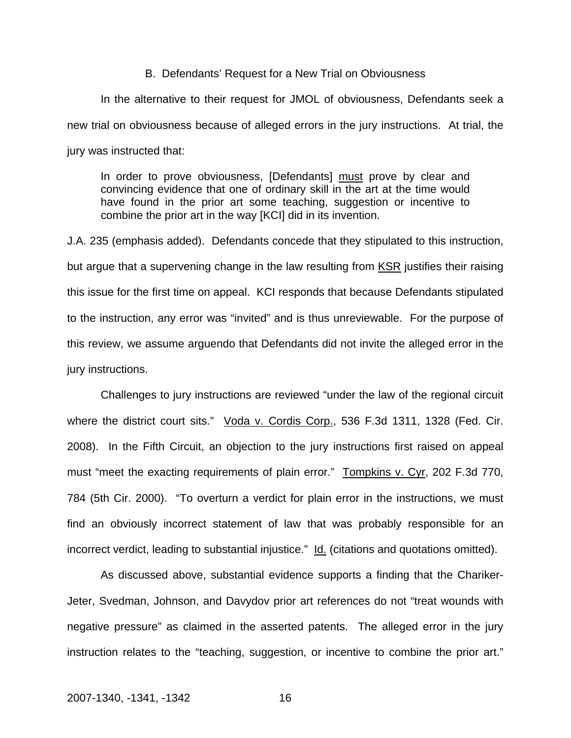#### B. Defendants' Request for a New Trial on Obviousness

 In the alternative to their request for JMOL of obviousness, Defendants seek a new trial on obviousness because of alleged errors in the jury instructions. At trial, the jury was instructed that:

In order to prove obviousness, [Defendants] must prove by clear and convincing evidence that one of ordinary skill in the art at the time would have found in the prior art some teaching, suggestion or incentive to combine the prior art in the way [KCI] did in its invention.

J.A. 235 (emphasis added). Defendants concede that they stipulated to this instruction, but argue that a supervening change in the law resulting from KSR justifies their raising this issue for the first time on appeal. KCI responds that because Defendants stipulated to the instruction, any error was "invited" and is thus unreviewable. For the purpose of this review, we assume arguendo that Defendants did not invite the alleged error in the jury instructions.

Challenges to jury instructions are reviewed "under the law of the regional circuit where the district court sits." Voda v. Cordis Corp., 536 F.3d 1311, 1328 (Fed. Cir. 2008). In the Fifth Circuit, an objection to the jury instructions first raised on appeal must "meet the exacting requirements of plain error." Tompkins v. Cyr, 202 F.3d 770, 784 (5th Cir. 2000). "To overturn a verdict for plain error in the instructions, we must find an obviously incorrect statement of law that was probably responsible for an incorrect verdict, leading to substantial injustice." Id. (citations and quotations omitted).

As discussed above, substantial evidence supports a finding that the Chariker-Jeter, Svedman, Johnson, and Davydov prior art references do not "treat wounds with negative pressure" as claimed in the asserted patents. The alleged error in the jury instruction relates to the "teaching, suggestion, or incentive to combine the prior art."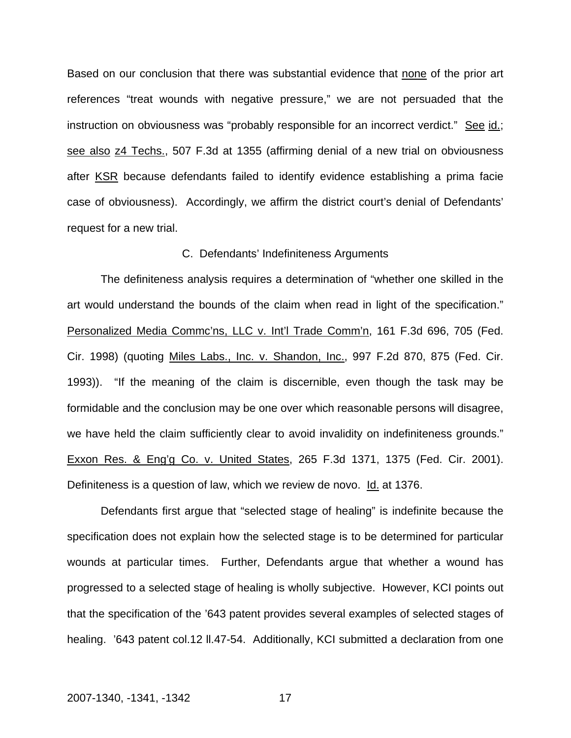Based on our conclusion that there was substantial evidence that none of the prior art references "treat wounds with negative pressure," we are not persuaded that the instruction on obviousness was "probably responsible for an incorrect verdict." See id.; see also z4 Techs., 507 F.3d at 1355 (affirming denial of a new trial on obviousness after KSR because defendants failed to identify evidence establishing a prima facie case of obviousness). Accordingly, we affirm the district court's denial of Defendants' request for a new trial.

#### C. Defendants' Indefiniteness Arguments

 The definiteness analysis requires a determination of "whether one skilled in the art would understand the bounds of the claim when read in light of the specification." Personalized Media Commc'ns, LLC v. Int'l Trade Comm'n, 161 F.3d 696, 705 (Fed. Cir. 1998) (quoting Miles Labs., Inc. v. Shandon, Inc., 997 F.2d 870, 875 (Fed. Cir. 1993)). "If the meaning of the claim is discernible, even though the task may be formidable and the conclusion may be one over which reasonable persons will disagree, we have held the claim sufficiently clear to avoid invalidity on indefiniteness grounds." Exxon Res. & Eng'g Co. v. United States, 265 F.3d 1371, 1375 (Fed. Cir. 2001). Definiteness is a question of law, which we review de novo. Id. at 1376.

 Defendants first argue that "selected stage of healing" is indefinite because the specification does not explain how the selected stage is to be determined for particular wounds at particular times. Further, Defendants argue that whether a wound has progressed to a selected stage of healing is wholly subjective. However, KCI points out that the specification of the '643 patent provides several examples of selected stages of healing. '643 patent col.12 II.47-54. Additionally, KCI submitted a declaration from one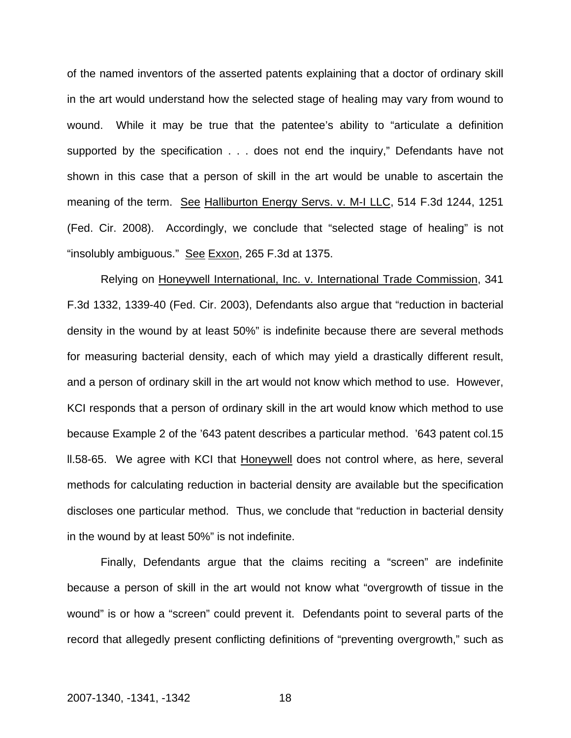of the named inventors of the asserted patents explaining that a doctor of ordinary skill in the art would understand how the selected stage of healing may vary from wound to wound. While it may be true that the patentee's ability to "articulate a definition supported by the specification . . . does not end the inquiry," Defendants have not shown in this case that a person of skill in the art would be unable to ascertain the meaning of the term. See Halliburton Energy Servs. v. M-I LLC, 514 F.3d 1244, 1251 (Fed. Cir. 2008). Accordingly, we conclude that "selected stage of healing" is not "insolubly ambiguous." See Exxon, 265 F.3d at 1375.

 Relying on Honeywell International, Inc. v. International Trade Commission, 341 F.3d 1332, 1339-40 (Fed. Cir. 2003), Defendants also argue that "reduction in bacterial density in the wound by at least 50%" is indefinite because there are several methods for measuring bacterial density, each of which may yield a drastically different result, and a person of ordinary skill in the art would not know which method to use. However, KCI responds that a person of ordinary skill in the art would know which method to use because Example 2 of the '643 patent describes a particular method. '643 patent col.15 ll.58-65. We agree with KCI that Honeywell does not control where, as here, several methods for calculating reduction in bacterial density are available but the specification discloses one particular method. Thus, we conclude that "reduction in bacterial density in the wound by at least 50%" is not indefinite.

 Finally, Defendants argue that the claims reciting a "screen" are indefinite because a person of skill in the art would not know what "overgrowth of tissue in the wound" is or how a "screen" could prevent it. Defendants point to several parts of the record that allegedly present conflicting definitions of "preventing overgrowth," such as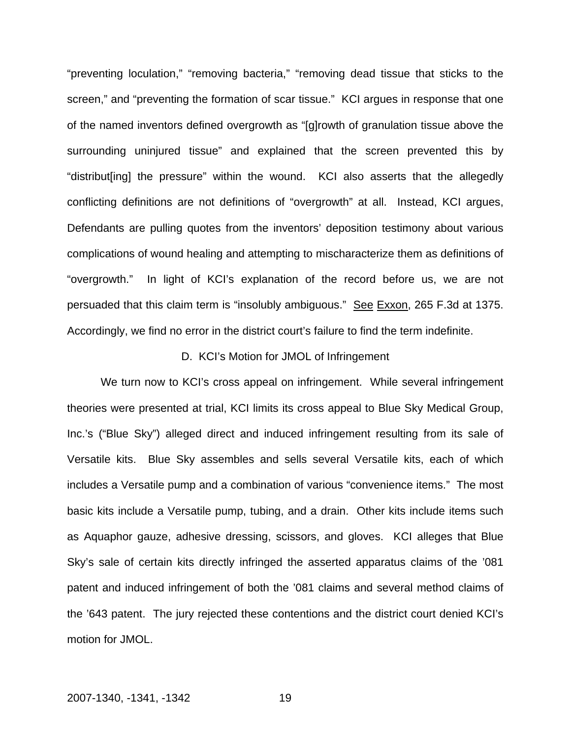"preventing loculation," "removing bacteria," "removing dead tissue that sticks to the screen," and "preventing the formation of scar tissue." KCI argues in response that one of the named inventors defined overgrowth as "[g]rowth of granulation tissue above the surrounding uninjured tissue" and explained that the screen prevented this by "distribut[ing] the pressure" within the wound. KCI also asserts that the allegedly conflicting definitions are not definitions of "overgrowth" at all. Instead, KCI argues, Defendants are pulling quotes from the inventors' deposition testimony about various complications of wound healing and attempting to mischaracterize them as definitions of "overgrowth." In light of KCI's explanation of the record before us, we are not persuaded that this claim term is "insolubly ambiguous." See Exxon, 265 F.3d at 1375. Accordingly, we find no error in the district court's failure to find the term indefinite.

## D. KCI's Motion for JMOL of Infringement

We turn now to KCI's cross appeal on infringement. While several infringement theories were presented at trial, KCI limits its cross appeal to Blue Sky Medical Group, Inc.'s ("Blue Sky") alleged direct and induced infringement resulting from its sale of Versatile kits. Blue Sky assembles and sells several Versatile kits, each of which includes a Versatile pump and a combination of various "convenience items." The most basic kits include a Versatile pump, tubing, and a drain. Other kits include items such as Aquaphor gauze, adhesive dressing, scissors, and gloves. KCI alleges that Blue Sky's sale of certain kits directly infringed the asserted apparatus claims of the '081 patent and induced infringement of both the '081 claims and several method claims of the '643 patent. The jury rejected these contentions and the district court denied KCI's motion for JMOL.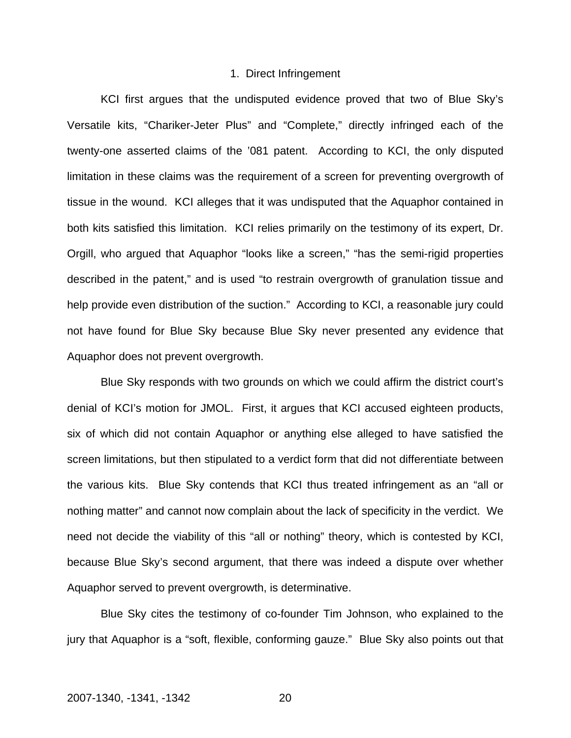#### 1. Direct Infringement

KCI first argues that the undisputed evidence proved that two of Blue Sky's Versatile kits, "Chariker-Jeter Plus" and "Complete," directly infringed each of the twenty-one asserted claims of the '081 patent. According to KCI, the only disputed limitation in these claims was the requirement of a screen for preventing overgrowth of tissue in the wound. KCI alleges that it was undisputed that the Aquaphor contained in both kits satisfied this limitation. KCI relies primarily on the testimony of its expert, Dr. Orgill, who argued that Aquaphor "looks like a screen," "has the semi-rigid properties described in the patent," and is used "to restrain overgrowth of granulation tissue and help provide even distribution of the suction." According to KCI, a reasonable jury could not have found for Blue Sky because Blue Sky never presented any evidence that Aquaphor does not prevent overgrowth.

Blue Sky responds with two grounds on which we could affirm the district court's denial of KCI's motion for JMOL. First, it argues that KCI accused eighteen products, six of which did not contain Aquaphor or anything else alleged to have satisfied the screen limitations, but then stipulated to a verdict form that did not differentiate between the various kits. Blue Sky contends that KCI thus treated infringement as an "all or nothing matter" and cannot now complain about the lack of specificity in the verdict. We need not decide the viability of this "all or nothing" theory, which is contested by KCI, because Blue Sky's second argument, that there was indeed a dispute over whether Aquaphor served to prevent overgrowth, is determinative.

Blue Sky cites the testimony of co-founder Tim Johnson, who explained to the jury that Aquaphor is a "soft, flexible, conforming gauze." Blue Sky also points out that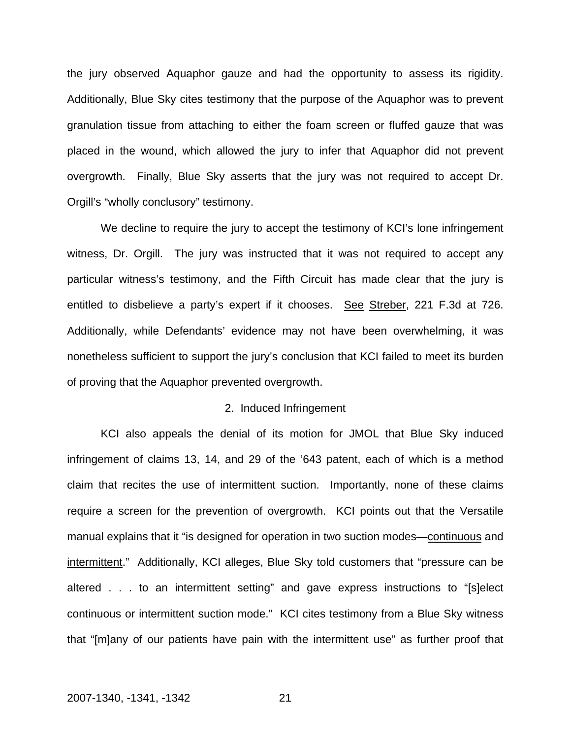the jury observed Aquaphor gauze and had the opportunity to assess its rigidity. Additionally, Blue Sky cites testimony that the purpose of the Aquaphor was to prevent granulation tissue from attaching to either the foam screen or fluffed gauze that was placed in the wound, which allowed the jury to infer that Aquaphor did not prevent overgrowth. Finally, Blue Sky asserts that the jury was not required to accept Dr. Orgill's "wholly conclusory" testimony.

We decline to require the jury to accept the testimony of KCI's lone infringement witness, Dr. Orgill. The jury was instructed that it was not required to accept any particular witness's testimony, and the Fifth Circuit has made clear that the jury is entitled to disbelieve a party's expert if it chooses. See Streber, 221 F.3d at 726. Additionally, while Defendants' evidence may not have been overwhelming, it was nonetheless sufficient to support the jury's conclusion that KCI failed to meet its burden of proving that the Aquaphor prevented overgrowth.

## 2. Induced Infringement

 KCI also appeals the denial of its motion for JMOL that Blue Sky induced infringement of claims 13, 14, and 29 of the '643 patent, each of which is a method claim that recites the use of intermittent suction. Importantly, none of these claims require a screen for the prevention of overgrowth. KCI points out that the Versatile manual explains that it "is designed for operation in two suction modes—continuous and intermittent." Additionally, KCI alleges, Blue Sky told customers that "pressure can be altered . . . to an intermittent setting" and gave express instructions to "[s]elect continuous or intermittent suction mode." KCI cites testimony from a Blue Sky witness that "[m]any of our patients have pain with the intermittent use" as further proof that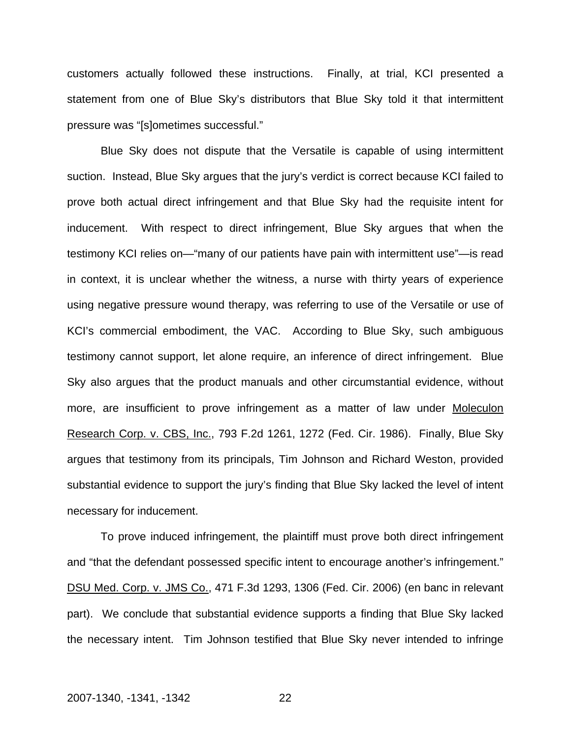customers actually followed these instructions. Finally, at trial, KCI presented a statement from one of Blue Sky's distributors that Blue Sky told it that intermittent pressure was "[s]ometimes successful."

Blue Sky does not dispute that the Versatile is capable of using intermittent suction. Instead, Blue Sky argues that the jury's verdict is correct because KCI failed to prove both actual direct infringement and that Blue Sky had the requisite intent for inducement. With respect to direct infringement, Blue Sky argues that when the testimony KCI relies on—"many of our patients have pain with intermittent use"—is read in context, it is unclear whether the witness, a nurse with thirty years of experience using negative pressure wound therapy, was referring to use of the Versatile or use of KCI's commercial embodiment, the VAC. According to Blue Sky, such ambiguous testimony cannot support, let alone require, an inference of direct infringement. Blue Sky also argues that the product manuals and other circumstantial evidence, without more, are insufficient to prove infringement as a matter of law under Moleculon Research Corp. v. CBS, Inc., 793 F.2d 1261, 1272 (Fed. Cir. 1986). Finally, Blue Sky argues that testimony from its principals, Tim Johnson and Richard Weston, provided substantial evidence to support the jury's finding that Blue Sky lacked the level of intent necessary for inducement.

To prove induced infringement, the plaintiff must prove both direct infringement and "that the defendant possessed specific intent to encourage another's infringement." DSU Med. Corp. v. JMS Co., 471 F.3d 1293, 1306 (Fed. Cir. 2006) (en banc in relevant part). We conclude that substantial evidence supports a finding that Blue Sky lacked the necessary intent. Tim Johnson testified that Blue Sky never intended to infringe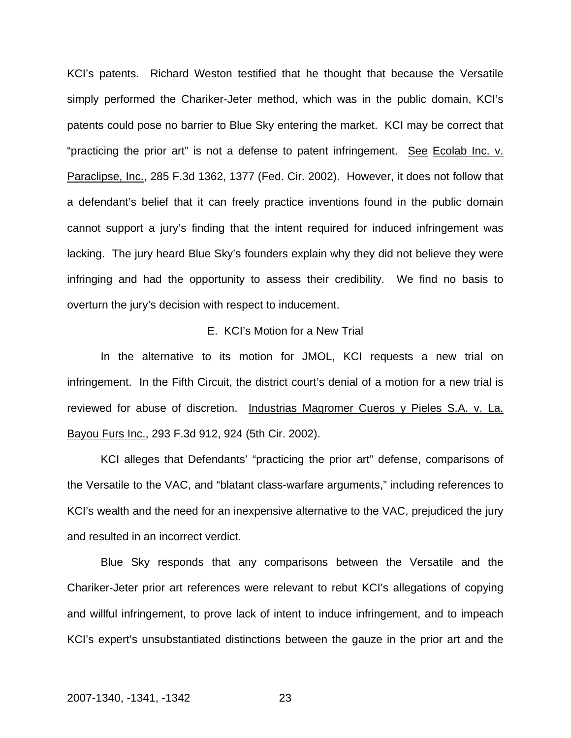KCI's patents. Richard Weston testified that he thought that because the Versatile simply performed the Chariker-Jeter method, which was in the public domain, KCI's patents could pose no barrier to Blue Sky entering the market. KCI may be correct that "practicing the prior art" is not a defense to patent infringement. See Ecolab Inc. v. Paraclipse, Inc., 285 F.3d 1362, 1377 (Fed. Cir. 2002). However, it does not follow that a defendant's belief that it can freely practice inventions found in the public domain cannot support a jury's finding that the intent required for induced infringement was lacking. The jury heard Blue Sky's founders explain why they did not believe they were infringing and had the opportunity to assess their credibility. We find no basis to overturn the jury's decision with respect to inducement.

## E. KCI's Motion for a New Trial

In the alternative to its motion for JMOL, KCI requests a new trial on infringement. In the Fifth Circuit, the district court's denial of a motion for a new trial is reviewed for abuse of discretion. Industrias Magromer Cueros y Pieles S.A. v. La. Bayou Furs Inc., 293 F.3d 912, 924 (5th Cir. 2002).

KCI alleges that Defendants' "practicing the prior art" defense, comparisons of the Versatile to the VAC, and "blatant class-warfare arguments," including references to KCI's wealth and the need for an inexpensive alternative to the VAC, prejudiced the jury and resulted in an incorrect verdict.

Blue Sky responds that any comparisons between the Versatile and the Chariker-Jeter prior art references were relevant to rebut KCI's allegations of copying and willful infringement, to prove lack of intent to induce infringement, and to impeach KCI's expert's unsubstantiated distinctions between the gauze in the prior art and the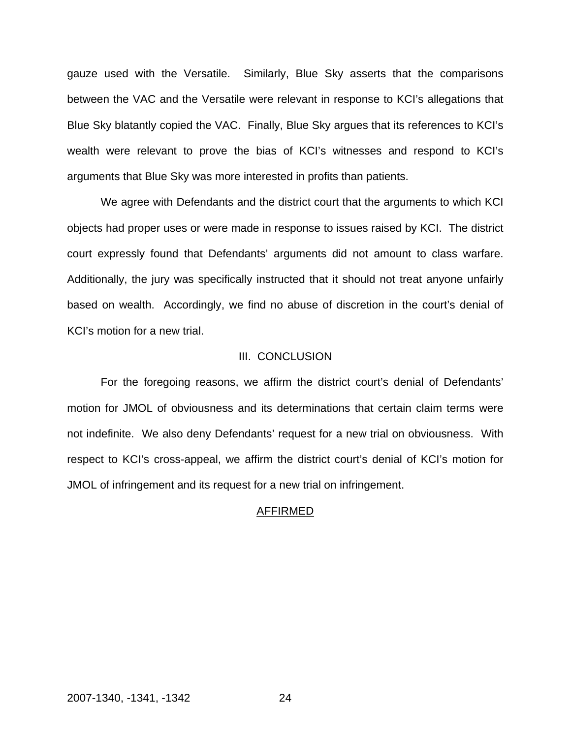gauze used with the Versatile. Similarly, Blue Sky asserts that the comparisons between the VAC and the Versatile were relevant in response to KCI's allegations that Blue Sky blatantly copied the VAC. Finally, Blue Sky argues that its references to KCI's wealth were relevant to prove the bias of KCI's witnesses and respond to KCI's arguments that Blue Sky was more interested in profits than patients.

We agree with Defendants and the district court that the arguments to which KCI objects had proper uses or were made in response to issues raised by KCI. The district court expressly found that Defendants' arguments did not amount to class warfare. Additionally, the jury was specifically instructed that it should not treat anyone unfairly based on wealth. Accordingly, we find no abuse of discretion in the court's denial of KCI's motion for a new trial.

#### III. CONCLUSION

 For the foregoing reasons, we affirm the district court's denial of Defendants' motion for JMOL of obviousness and its determinations that certain claim terms were not indefinite. We also deny Defendants' request for a new trial on obviousness. With respect to KCI's cross-appeal, we affirm the district court's denial of KCI's motion for JMOL of infringement and its request for a new trial on infringement.

#### AFFIRMED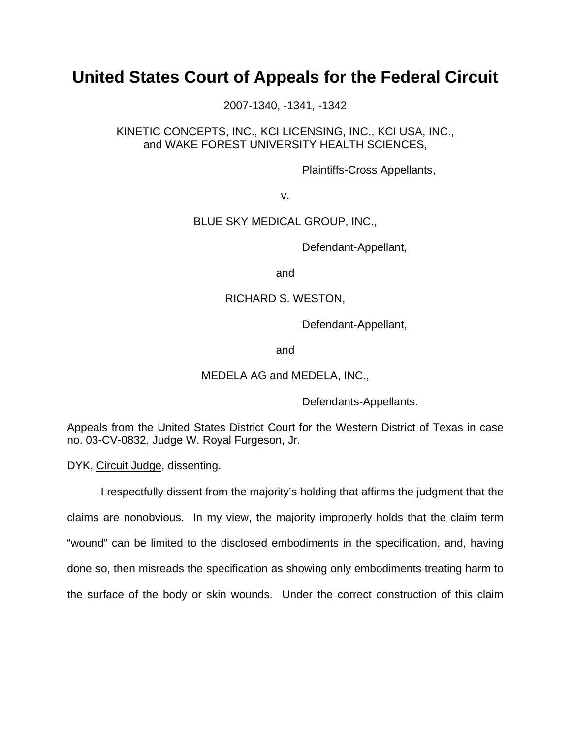# **United States Court of Appeals for the Federal Circuit**

2007-1340, -1341, -1342

# KINETIC CONCEPTS, INC., KCI LICENSING, INC., KCI USA, INC., and WAKE FOREST UNIVERSITY HEALTH SCIENCES,

Plaintiffs-Cross Appellants,

v.

# BLUE SKY MEDICAL GROUP, INC.,

Defendant-Appellant,

and

# RICHARD S. WESTON,

Defendant-Appellant,

and

# MEDELA AG and MEDELA, INC.,

Defendants-Appellants.

Appeals from the United States District Court for the Western District of Texas in case no. 03-CV-0832, Judge W. Royal Furgeson, Jr.

DYK, Circuit Judge, dissenting.

 I respectfully dissent from the majority's holding that affirms the judgment that the claims are nonobvious. In my view, the majority improperly holds that the claim term "wound" can be limited to the disclosed embodiments in the specification, and, having done so, then misreads the specification as showing only embodiments treating harm to the surface of the body or skin wounds. Under the correct construction of this claim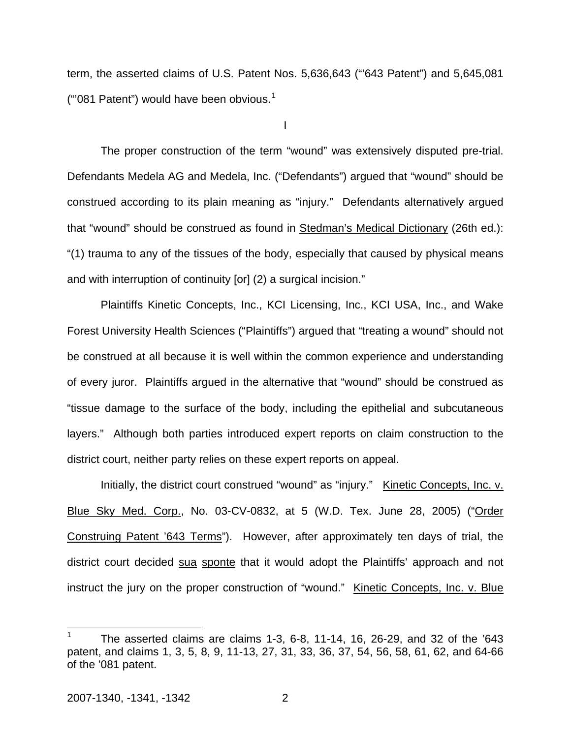term, the asserted claims of U.S. Patent Nos. 5,636,643 ("'643 Patent") and 5,645,081 ("08[1](#page-26-0) Patent") would have been obvious. $1$ 

I

The proper construction of the term "wound" was extensively disputed pre-trial. Defendants Medela AG and Medela, Inc. ("Defendants") argued that "wound" should be construed according to its plain meaning as "injury." Defendants alternatively argued that "wound" should be construed as found in Stedman's Medical Dictionary (26th ed.): "(1) trauma to any of the tissues of the body, especially that caused by physical means and with interruption of continuity [or] (2) a surgical incision."

Plaintiffs Kinetic Concepts, Inc., KCI Licensing, Inc., KCI USA, Inc., and Wake Forest University Health Sciences ("Plaintiffs") argued that "treating a wound" should not be construed at all because it is well within the common experience and understanding of every juror. Plaintiffs argued in the alternative that "wound" should be construed as "tissue damage to the surface of the body, including the epithelial and subcutaneous layers." Although both parties introduced expert reports on claim construction to the district court, neither party relies on these expert reports on appeal.

Initially, the district court construed "wound" as "injury." Kinetic Concepts, Inc. v. Blue Sky Med. Corp., No. 03-CV-0832, at 5 (W.D. Tex. June 28, 2005) ("Order Construing Patent '643 Terms"). However, after approximately ten days of trial, the district court decided sua sponte that it would adopt the Plaintiffs' approach and not instruct the jury on the proper construction of "wound." Kinetic Concepts, Inc. v. Blue

 $\overline{a}$ 

<span id="page-26-0"></span><sup>1</sup> The asserted claims are claims 1-3, 6-8, 11-14, 16, 26-29, and 32 of the '643 patent, and claims 1, 3, 5, 8, 9, 11-13, 27, 31, 33, 36, 37, 54, 56, 58, 61, 62, and 64-66 of the '081 patent.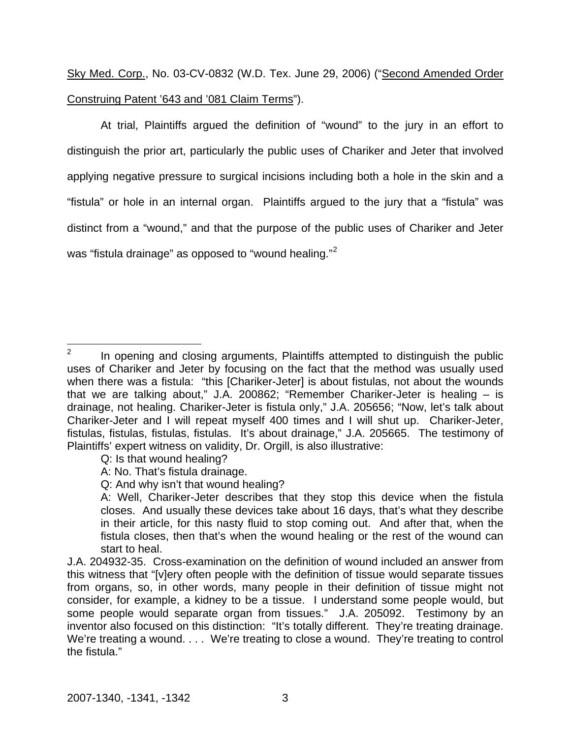Sky Med. Corp., No. 03-CV-0832 (W.D. Tex. June 29, 2006) ("Second Amended Order Construing Patent '643 and '081 Claim Terms").

At trial, Plaintiffs argued the definition of "wound" to the jury in an effort to distinguish the prior art, particularly the public uses of Chariker and Jeter that involved applying negative pressure to surgical incisions including both a hole in the skin and a "fistula" or hole in an internal organ. Plaintiffs argued to the jury that a "fistula" was distinct from a "wound," and that the purpose of the public uses of Chariker and Jeter was "fistula drainage" as opposed to "wound healing."<sup>[2](#page-27-0)</sup>

- Q: Is that wound healing?
- A: No. That's fistula drainage.
- Q: And why isn't that wound healing?

<span id="page-27-0"></span> $\frac{1}{2}$  In opening and closing arguments, Plaintiffs attempted to distinguish the public uses of Chariker and Jeter by focusing on the fact that the method was usually used when there was a fistula: "this [Chariker-Jeter] is about fistulas, not about the wounds that we are talking about," J.A. 200862; "Remember Chariker-Jeter is healing – is drainage, not healing. Chariker-Jeter is fistula only," J.A. 205656; "Now, let's talk about Chariker-Jeter and I will repeat myself 400 times and I will shut up. Chariker-Jeter, fistulas, fistulas, fistulas, fistulas. It's about drainage," J.A. 205665. The testimony of Plaintiffs' expert witness on validity, Dr. Orgill, is also illustrative:

A: Well, Chariker-Jeter describes that they stop this device when the fistula closes. And usually these devices take about 16 days, that's what they describe in their article, for this nasty fluid to stop coming out. And after that, when the fistula closes, then that's when the wound healing or the rest of the wound can start to heal.

J.A. 204932-35. Cross-examination on the definition of wound included an answer from this witness that "[v]ery often people with the definition of tissue would separate tissues from organs, so, in other words, many people in their definition of tissue might not consider, for example, a kidney to be a tissue. I understand some people would, but some people would separate organ from tissues." J.A. 205092. Testimony by an inventor also focused on this distinction:"It's totally different. They're treating drainage. We're treating a wound. . . . We're treating to close a wound. They're treating to control the fistula."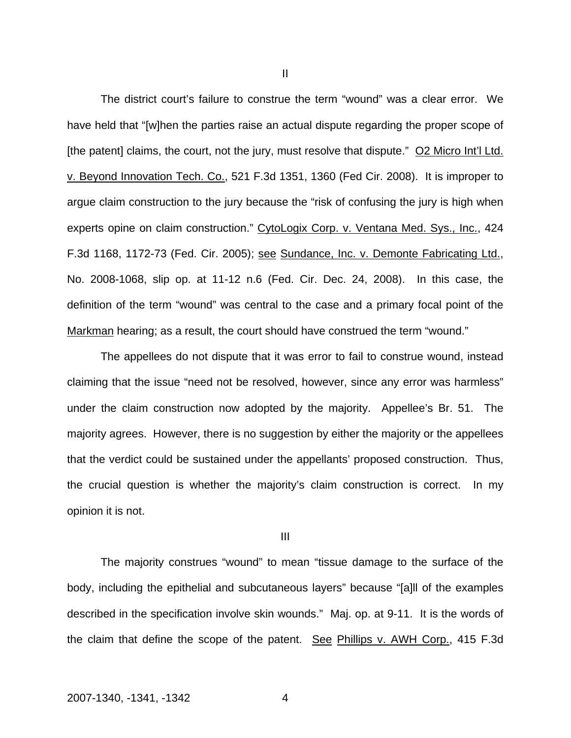The district court's failure to construe the term "wound" was a clear error. We have held that "[w]hen the parties raise an actual dispute regarding the proper scope of [the patent] claims, the court, not the jury, must resolve that dispute." O2 Micro Int'l Ltd. v. Beyond Innovation Tech. Co., 521 F.3d 1351, 1360 (Fed Cir. 2008). It is improper to argue claim construction to the jury because the "risk of confusing the jury is high when experts opine on claim construction." CytoLogix Corp. v. Ventana Med. Sys., Inc., 424 F.3d 1168, 1172-73 (Fed. Cir. 2005); see Sundance, Inc. v. Demonte Fabricating Ltd., No. 2008-1068, slip op. at 11-12 n.6 (Fed. Cir. Dec. 24, 2008). In this case, the definition of the term "wound" was central to the case and a primary focal point of the Markman hearing; as a result, the court should have construed the term "wound."

The appellees do not dispute that it was error to fail to construe wound, instead claiming that the issue "need not be resolved, however, since any error was harmless" under the claim construction now adopted by the majority. Appellee's Br. 51. The majority agrees. However, there is no suggestion by either the majority or the appellees that the verdict could be sustained under the appellants' proposed construction. Thus, the crucial question is whether the majority's claim construction is correct. In my opinion it is not.

III

The majority construes "wound" to mean "tissue damage to the surface of the body, including the epithelial and subcutaneous layers" because "[a]ll of the examples described in the specification involve skin wounds." Maj. op. at 9-11. It is the words of the claim that define the scope of the patent. See Phillips v. AWH Corp., 415 F.3d

II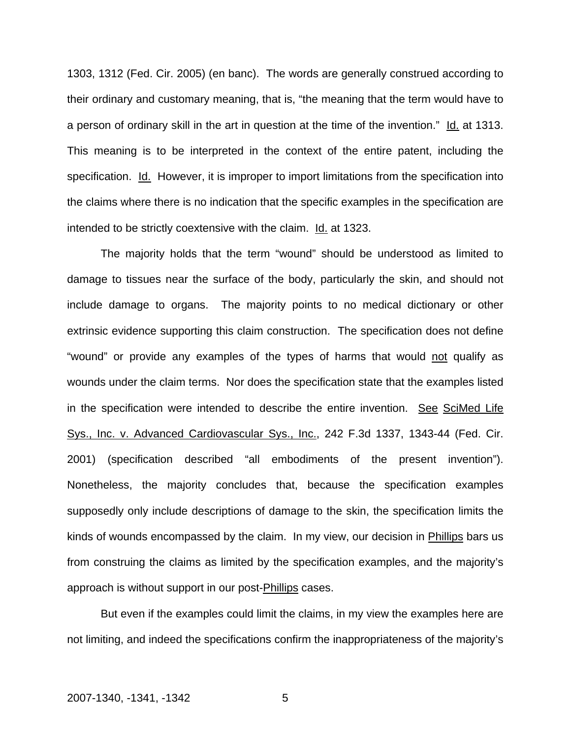1303, 1312 (Fed. Cir. 2005) (en banc). The words are generally construed according to their ordinary and customary meaning, that is, "the meaning that the term would have to a person of ordinary skill in the art in question at the time of the invention." Id. at 1313. This meaning is to be interpreted in the context of the entire patent, including the specification. Id. However, it is improper to import limitations from the specification into the claims where there is no indication that the specific examples in the specification are intended to be strictly coextensive with the claim. Id. at 1323.

The majority holds that the term "wound" should be understood as limited to damage to tissues near the surface of the body, particularly the skin, and should not include damage to organs. The majority points to no medical dictionary or other extrinsic evidence supporting this claim construction. The specification does not define "wound" or provide any examples of the types of harms that would not qualify as wounds under the claim terms. Nor does the specification state that the examples listed in the specification were intended to describe the entire invention. See SciMed Life Sys., Inc. v. Advanced Cardiovascular Sys., Inc., 242 F.3d 1337, 1343-44 (Fed. Cir. 2001) (specification described "all embodiments of the present invention"). Nonetheless, the majority concludes that, because the specification examples supposedly only include descriptions of damage to the skin, the specification limits the kinds of wounds encompassed by the claim. In my view, our decision in Phillips bars us from construing the claims as limited by the specification examples, and the majority's approach is without support in our post-Phillips cases.

But even if the examples could limit the claims, in my view the examples here are not limiting, and indeed the specifications confirm the inappropriateness of the majority's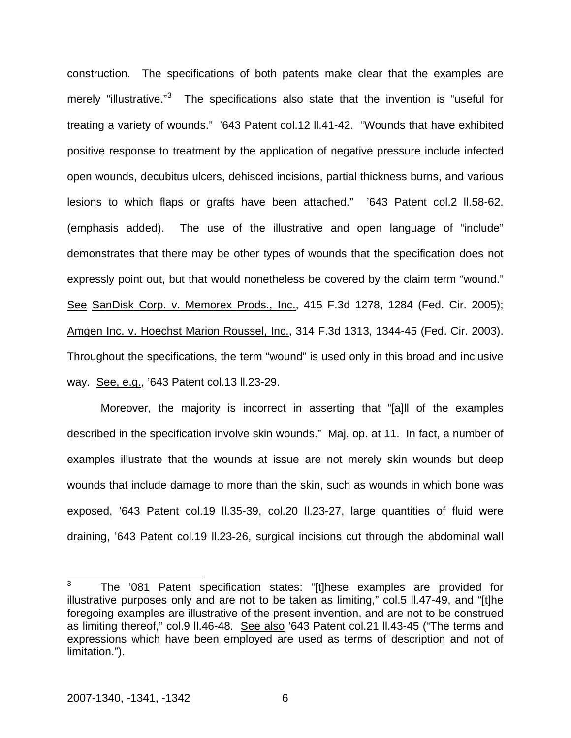construction. The specifications of both patents make clear that the examples are merely "illustrative."<sup>[3](#page-30-0)</sup> The specifications also state that the invention is "useful for treating a variety of wounds." '643 Patent col.12 ll.41-42. "Wounds that have exhibited positive response to treatment by the application of negative pressure include infected open wounds, decubitus ulcers, dehisced incisions, partial thickness burns, and various lesions to which flaps or grafts have been attached." '643 Patent col.2 ll.58-62. (emphasis added). The use of the illustrative and open language of "include" demonstrates that there may be other types of wounds that the specification does not expressly point out, but that would nonetheless be covered by the claim term "wound." See SanDisk Corp. v. Memorex Prods., Inc., 415 F.3d 1278, 1284 (Fed. Cir. 2005); Amgen Inc. v. Hoechst Marion Roussel, Inc., 314 F.3d 1313, 1344-45 (Fed. Cir. 2003). Throughout the specifications, the term "wound" is used only in this broad and inclusive way. See, e.g., '643 Patent col.13 ll.23-29.

Moreover, the majority is incorrect in asserting that "[a]ll of the examples described in the specification involve skin wounds." Maj. op. at 11. In fact, a number of examples illustrate that the wounds at issue are not merely skin wounds but deep wounds that include damage to more than the skin, such as wounds in which bone was exposed, '643 Patent col.19 ll.35-39, col.20 ll.23-27, large quantities of fluid were draining, '643 Patent col.19 ll.23-26, surgical incisions cut through the abdominal wall

<span id="page-30-0"></span> $\frac{1}{3}$  The '081 Patent specification states: "[t]hese examples are provided for illustrative purposes only and are not to be taken as limiting," col.5 ll.47-49, and "[t]he foregoing examples are illustrative of the present invention, and are not to be construed as limiting thereof," col.9 ll.46-48. See also '643 Patent col.21 ll.43-45 ("The terms and expressions which have been employed are used as terms of description and not of limitation.").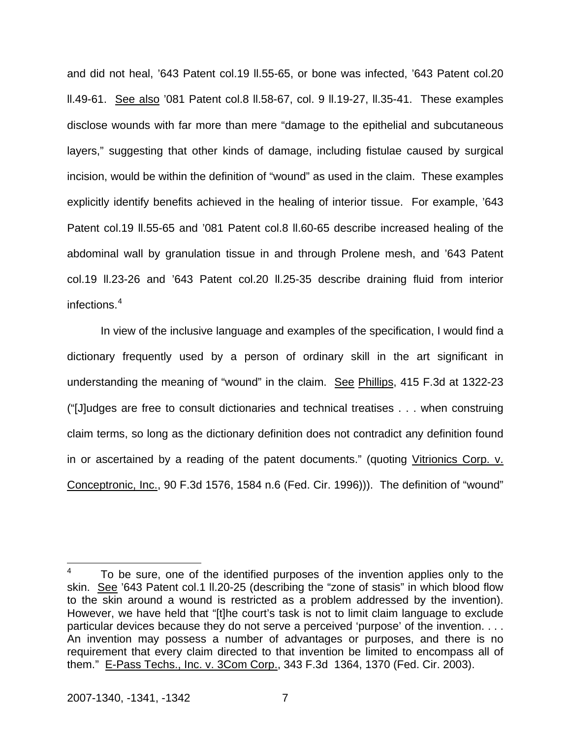and did not heal, '643 Patent col.19 ll.55-65, or bone was infected, '643 Patent col.20 ll.49-61. See also '081 Patent col.8 ll.58-67, col. 9 ll.19-27, ll.35-41. These examples disclose wounds with far more than mere "damage to the epithelial and subcutaneous layers," suggesting that other kinds of damage, including fistulae caused by surgical incision, would be within the definition of "wound" as used in the claim. These examples explicitly identify benefits achieved in the healing of interior tissue. For example, '643 Patent col.19 II.55-65 and '081 Patent col.8 II.60-65 describe increased healing of the abdominal wall by granulation tissue in and through Prolene mesh, and '643 Patent col.19 ll.23-26 and '643 Patent col.20 ll.25-35 describe draining fluid from interior infections.[4](#page-31-0)

In view of the inclusive language and examples of the specification, I would find a dictionary frequently used by a person of ordinary skill in the art significant in understanding the meaning of "wound" in the claim. See Phillips, 415 F.3d at 1322-23 ("[J]udges are free to consult dictionaries and technical treatises . . . when construing claim terms, so long as the dictionary definition does not contradict any definition found in or ascertained by a reading of the patent documents." (quoting Vitrionics Corp. v. Conceptronic, Inc., 90 F.3d 1576, 1584 n.6 (Fed. Cir. 1996))). The definition of "wound"

<span id="page-31-0"></span> 4 To be sure, one of the identified purposes of the invention applies only to the skin. See '643 Patent col.1 ll.20-25 (describing the "zone of stasis" in which blood flow to the skin around a wound is restricted as a problem addressed by the invention). However, we have held that "[t]he court's task is not to limit claim language to exclude particular devices because they do not serve a perceived 'purpose' of the invention. . . . An invention may possess a number of advantages or purposes, and there is no requirement that every claim directed to that invention be limited to encompass all of them." E-Pass Techs., Inc. v. 3Com Corp., 343 F.3d 1364, 1370 (Fed. Cir. 2003).